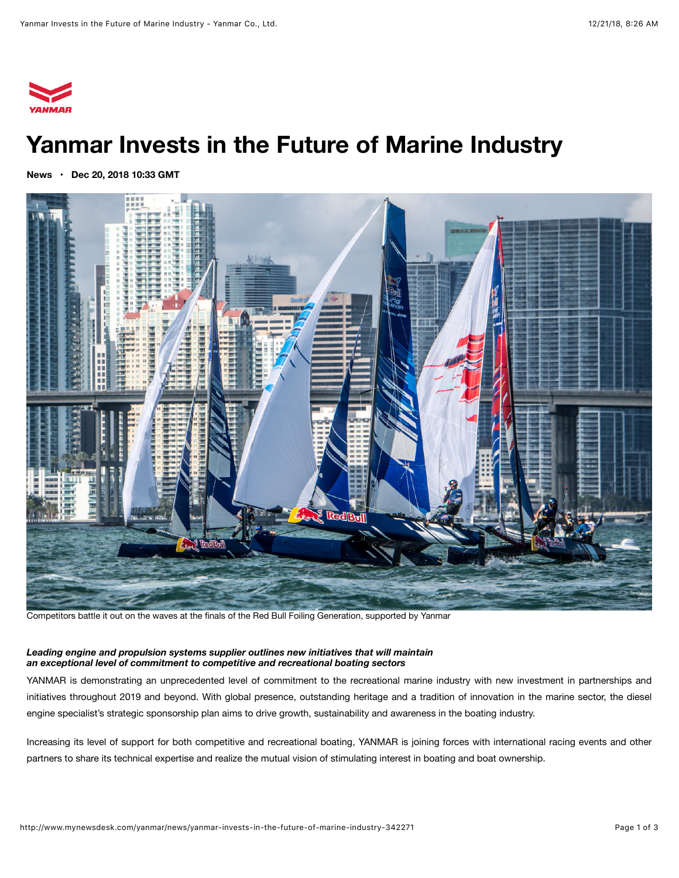

# **Yanmar Invests in the Future of Marine Industry**

**[News](http://www.mynewsdesk.com/yanmar/news) • Dec 20, 2018 10:33 GMT**



Competitors battle it out on the waves at the finals of the Red Bull Foiling Generation, supported by Yanmar

#### *Leading engine and propulsion systems supplier outlines new initiatives that will maintain an exceptional level of commitment to competitive and recreational boating sectors*

YANMAR is demonstrating an unprecedented level of commitment to the recreational marine industry with new investment in partnerships and initiatives throughout 2019 and beyond. With global presence, outstanding heritage and a tradition of innovation in the marine sector, the diesel engine specialist's strategic sponsorship plan aims to drive growth, sustainability and awareness in the boating industry.

Increasing its level of support for both competitive and recreational boating, YANMAR is joining forces with international racing events and other partners to share its technical expertise and realize the mutual vision of stimulating interest in boating and boat ownership.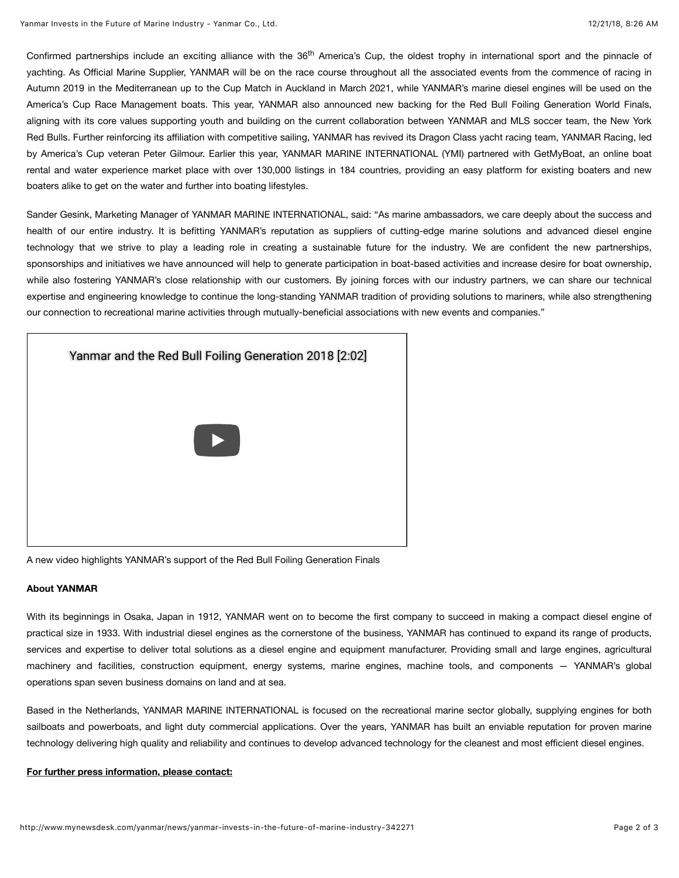Confirmed partnerships include an exciting alliance with the 36<sup>th</sup> America's Cup, the oldest trophy in international sport and the pinnacle of yachting. As Official Marine Supplier, YANMAR will be on the race course throughout all the associated events from the commence of racing in Autumn 2019 in the Mediterranean up to the Cup Match in Auckland in March 2021, while YANMAR's marine diesel engines will be used on the America's Cup Race Management boats. This year, YANMAR also announced new backing for the [Red Bull Foiling Generation World Finals](https://youtu.be/R88BhW0CcFk), aligning with its core values supporting youth and building on the current collaboration between YANMAR and MLS soccer team, the New York Red Bulls. Further reinforcing its affiliation with competitive sailing, YANMAR has revived its Dragon Class yacht racing team, YANMAR Racing, led by America's Cup veteran Peter Gilmour. Earlier this year, YANMAR MARINE INTERNATIONAL (YMI) partnered with GetMyBoat, an online boat rental and water experience market place with over 130,000 listings in 184 countries, providing an easy platform for existing boaters and new boaters alike to get on the water and further into boating lifestyles.

Sander Gesink, Marketing Manager of YANMAR MARINE INTERNATIONAL, said: "As marine ambassadors, we care deeply about the success and health of our entire industry. It is befitting YANMAR's reputation as suppliers of cutting-edge marine solutions and advanced diesel engine technology that we strive to play a leading role in creating a sustainable future for the industry. We are confident the new partnerships, sponsorships and initiatives we have announced will help to generate participation in boat-based activities and increase desire for boat ownership, while also fostering YANMAR's close relationship with our customers. By joining forces with our industry partners, we can share our technical expertise and engineering knowledge to continue the long-standing YANMAR tradition of providing solutions to mariners, while also strengthening our connection to recreational marine activities through mutually-beneficial associations with new events and companies."



A new video highlights YANMAR's support of the Red Bull Foiling Generation Finals

### **About YANMAR**

With its beginnings in Osaka, Japan in 1912, YANMAR went on to become the first company to succeed in making a compact diesel engine of practical size in 1933. With industrial diesel engines as the cornerstone of the business, YANMAR has continued to expand its range of products, services and expertise to deliver total solutions as a diesel engine and equipment manufacturer. Providing small and large engines, agricultural machinery and facilities, construction equipment, energy systems, marine engines, machine tools, and components — YANMAR's global operations span seven business domains on land and at sea.

Based in the Netherlands, YANMAR MARINE INTERNATIONAL is focused on the recreational marine sector globally, supplying engines for both sailboats and powerboats, and light duty commercial applications. Over the years, YANMAR has built an enviable reputation for proven marine technology delivering high quality and reliability and continues to develop advanced technology for the cleanest and most efficient diesel engines.

#### **For further press information, please contact:**